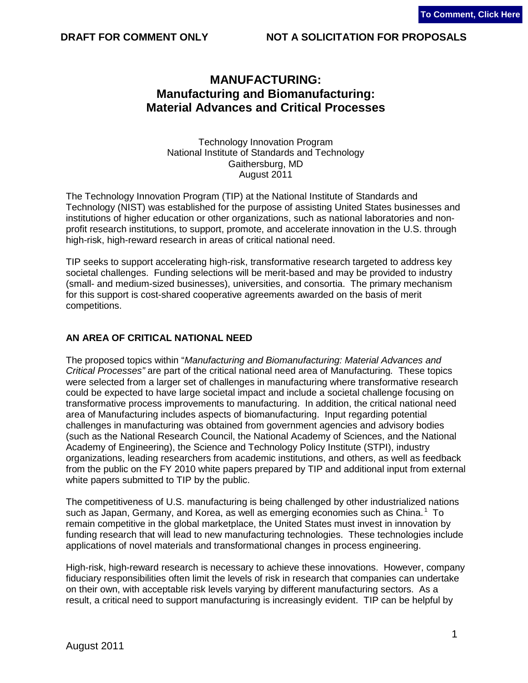# **MANUFACTURING: Manufacturing and Biomanufacturing: Material Advances and Critical Processes**

Technology Innovation Program National Institute of Standards and Technology Gaithersburg, MD August 2011

The Technology Innovation Program (TIP) at the National Institute of Standards and Technology (NIST) was established for the purpose of assisting United States businesses and institutions of higher education or other organizations, such as national laboratories and nonprofit research institutions, to support, promote, and accelerate innovation in the U.S. through high-risk, high-reward research in areas of critical national need.

TIP seeks to support accelerating high-risk, transformative research targeted to address key societal challenges. Funding selections will be merit-based and may be provided to industry (small- and medium-sized businesses), universities, and consortia. The primary mechanism for this support is cost-shared cooperative agreements awarded on the basis of merit competitions.

#### **AN AREA OF CRITICAL NATIONAL NEED**

The proposed topics within "*Manufacturing and Biomanufacturing: Material Advances and Critical Processes"* are part of the critical national need area of Manufacturing*.* These topics were selected from a larger set of challenges in manufacturing where transformative research could be expected to have large societal impact and include a societal challenge focusing on transformative process improvements to manufacturing. In addition, the critical national need area of Manufacturing includes aspects of biomanufacturing. Input regarding potential challenges in manufacturing was obtained from government agencies and advisory bodies (such as the National Research Council, the National Academy of Sciences, and the National Academy of Engineering), the Science and Technology Policy Institute (STPI), industry organizations, leading researchers from academic institutions, and others, as well as feedback from the public on the FY 2010 white papers prepared by TIP and additional input from external white papers submitted to TIP by the public.

<span id="page-0-0"></span>The competitiveness of U.S. manufacturing is being challenged by other industrialized nations such as Japan, Germany, and Korea, as well as emerging economies such as China. $^1$  To remain competitive in the global marketplace, the United States must invest in innovation by funding research that will lead to new manufacturing technologies. These technologies include applications of novel materials and transformational changes in process engineering.

High-risk, high-reward research is necessary to achieve these innovations. However, company fiduciary responsibilities often limit the levels of risk in research that companies can undertake on their own, with acceptable risk levels varying by different manufacturing sectors. As a result, a critical need to support manufacturing is increasingly evident. TIP can be helpful by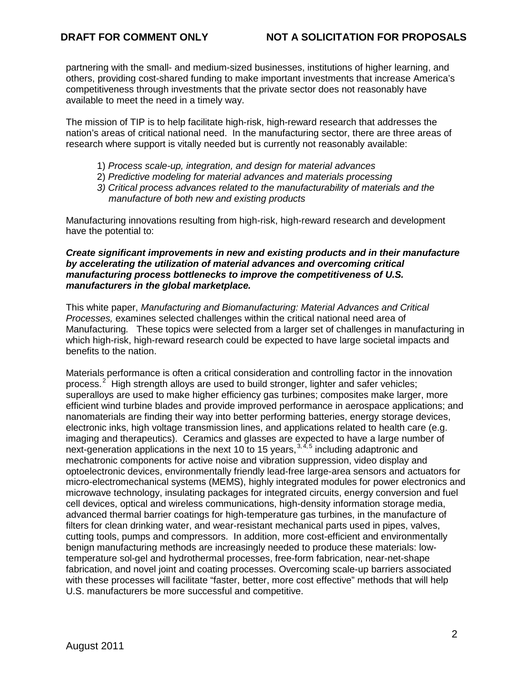partnering with the small- and medium-sized businesses, institutions of higher learning, and others, providing cost-shared funding to make important investments that increase America's competitiveness through investments that the private sector does not reasonably have available to meet the need in a timely way.

The mission of TIP is to help facilitate high-risk, high-reward research that addresses the nation's areas of critical national need. In the manufacturing sector, there are three areas of research where support is vitally needed but is currently not reasonably available:

- 1) *Process scale-up, integration, and design for material advances*
- 2) *Predictive modeling for material advances and materials processing*
- *3) Critical process advances related to the manufacturability of materials and the manufacture of both new and existing products*

Manufacturing innovations resulting from high-risk, high-reward research and development have the potential to:

#### *Create significant improvements in new and existing products and in their manufacture by accelerating the utilization of material advances and overcoming critical manufacturing process bottlenecks to improve the competitiveness of U.S. manufacturers in the global marketplace.*

This white paper, *Manufacturing and Biomanufacturing: Material Advances and Critical Processes,* examines selected challenges within the critical national need area of Manufacturing*.* These topics were selected from a larger set of challenges in manufacturing in which high-risk, high-reward research could be expected to have large societal impacts and benefits to the nation.

<span id="page-1-2"></span><span id="page-1-1"></span><span id="page-1-0"></span>Materials performance is often a critical consideration and controlling factor in the innovation process.<sup>2</sup> High strength alloys are used to build stronger, lighter and safer vehicles; superalloys are used to make higher efficiency gas turbines; composites make larger, more efficient wind turbine blades and provide improved performance in aerospace applications; and nanomaterials are finding their way into better performing batteries, energy storage devices, electronic inks, high voltage transmission lines, and applications related to health care (e.g. imaging and therapeutics). Ceramics and glasses are expected to have a large number of next-generation applications in the next 10 to 15 years,  $3.4.5$  including adaptronic and mechatronic components for active noise and vibration suppression, video display and optoelectronic devices, environmentally friendly lead-free large-area sensors and actuators for micro-electromechanical systems (MEMS), highly integrated modules for power electronics and microwave technology, insulating packages for integrated circuits, energy conversion and fuel cell devices, optical and wireless communications, high-density information storage media, advanced thermal barrier coatings for high-temperature gas turbines, in the manufacture of filters for clean drinking water, and wear-resistant mechanical parts used in pipes, valves, cutting tools, pumps and compressors. In addition, more cost-efficient and environmentally benign manufacturing methods are increasingly needed to produce these materials: lowtemperature sol-gel and hydrothermal processes, free-form fabrication, near-net-shape fabrication, and novel joint and coating processes. Overcoming scale-up barriers associated with these processes will facilitate "faster, better, more cost effective" methods that will help U.S. manufacturers be more successful and competitive.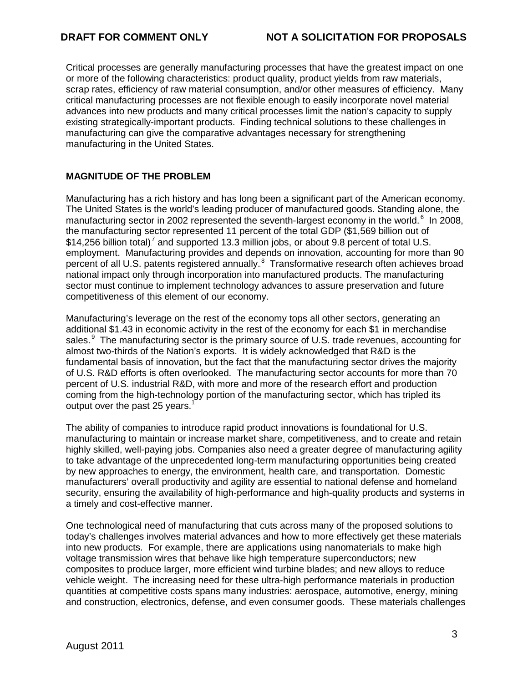Critical processes are generally manufacturing processes that have the greatest impact on one or more of the following characteristics: product quality, product yields from raw materials, scrap rates, efficiency of raw material consumption, and/or other measures of efficiency. Many critical manufacturing processes are not flexible enough to easily incorporate novel material advances into new products and many critical processes limit the nation's capacity to supply existing strategically-important products. Finding technical solutions to these challenges in manufacturing can give the comparative advantages necessary for strengthening manufacturing in the United States.

# **MAGNITUDE OF THE PROBLEM**

Manufacturing has a rich history and has long been a significant part of the American economy. The United States is the world's leading producer of manufactured goods. Standing alone, the manufacturing sector in 2002 represented the seventh-largest economy in the world.<sup>6</sup> In 2008, the manufacturing sector represented 11 percent of the total GDP (\$1,569 billion out of \$14,256 billion total)<sup>7</sup> and supported 13.3 million jobs, or about 9.8 percent of total U.S. employment. Manufacturing provides and depends on innovation, accounting for more than 90 percent of all U.S. patents registered annually.<sup>8</sup> Transformative research often achieves broad national impact only through incorporation into manufactured products. The manufacturing sector must continue to implement technology advances to assure preservation and future competitiveness of this element of our economy.

Manufacturing's leverage on the rest of the economy tops all other sectors, generating an additional \$1.43 in economic activity in the rest of the economy for each \$1 in merchandise sales.<sup>9</sup> The manufacturing sector is the primary source of U.S. trade revenues, accounting for almost two-thirds of the Nation's exports. It is widely acknowledged that R&D is the fundamental basis of innovation, but the fact that the manufacturing sector drives the majority of U.S. R&D efforts is often overlooked. The manufacturing sector accounts for more than 70 percent of U.S. industrial R&D, with more and more of the research effort and production coming from the high-technology portion of the manufacturing sector, which has tripled its output over the past 25 years.<sup>[1](#page-0-0)</sup>

The ability of companies to introduce rapid product innovations is foundational for U.S. manufacturing to maintain or increase market share, competitiveness, and to create and retain highly skilled, well-paying jobs. Companies also need a greater degree of manufacturing agility to take advantage of the unprecedented long-term manufacturing opportunities being created by new approaches to energy, the environment, health care, and transportation. Domestic manufacturers' overall productivity and agility are essential to national defense and homeland security, ensuring the availability of high-performance and high-quality products and systems in a timely and cost-effective manner.

One technological need of manufacturing that cuts across many of the proposed solutions to today's challenges involves material advances and how to more effectively get these materials into new products. For example, there are applications using nanomaterials to make high voltage transmission wires that behave like high temperature superconductors; new composites to produce larger, more efficient wind turbine blades; and new alloys to reduce vehicle weight. The increasing need for these ultra-high performance materials in production quantities at competitive costs spans many industries: aerospace, automotive, energy, mining and construction, electronics, defense, and even consumer goods. These materials challenges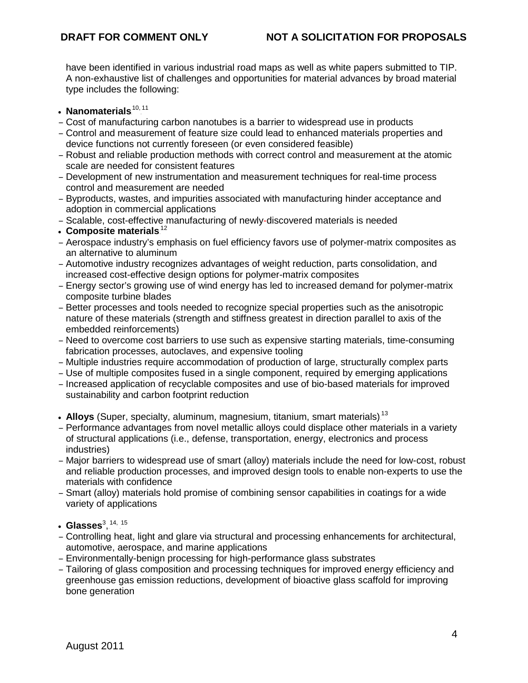have been identified in various industrial road maps as well as white papers submitted to TIP. A non-exhaustive list of challenges and opportunities for material advances by broad material type includes the following:

- Nanomaterials.<sup>10, 11</sup>
- Cost of manufacturing carbon nanotubes is a barrier to widespread use in products
- Control and measurement of feature size could lead to enhanced materials properties and device functions not currently foreseen (or even considered feasible)
- Robust and reliable production methods with correct control and measurement at the atomic scale are needed for consistent features
- Development of new instrumentation and measurement techniques for real-time process control and measurement are needed
- Byproducts, wastes, and impurities associated with manufacturing hinder acceptance and adoption in commercial applications
- Scalable, cost-effective manufacturing of newly-discovered materials is needed
- Composite materials.<sup>12</sup>
- Aerospace industry's emphasis on fuel efficiency favors use of polymer-matrix composites as an alternative to aluminum
- Automotive industry recognizes advantages of weight reduction, parts consolidation, and increased cost-effective design options for polymer-matrix composites
- Energy sector's growing use of wind energy has led to increased demand for polymer-matrix composite turbine blades
- Better processes and tools needed to recognize special properties such as the anisotropic nature of these materials (strength and stiffness greatest in direction parallel to axis of the embedded reinforcements)
- Need to overcome cost barriers to use such as expensive starting materials, time-consuming fabrication processes, autoclaves, and expensive tooling
- Multiple industries require accommodation of production of large, structurally complex parts
- Use of multiple composites fused in a single component, required by emerging applications
- Increased application of recyclable composites and use of bio-based materials for improved sustainability and carbon footprint reduction
- Alloys (Super, specialty, aluminum, magnesium, titanium, smart materials).<sup>13</sup>
- Performance advantages from novel metallic alloys could displace other materials in a variety of structural applications (i.e., defense, transportation, energy, electronics and process industries)
- Major barriers to widespread use of smart (alloy) materials include the need for low-cost, robust and reliable production processes, and improved design tools to enable non-experts to use the materials with confidence
- Smart (alloy) materials hold promise of combining sensor capabilities in coatings for a wide variety of applications
- $\cdot$  Gla[s](#page-1-0)ses $^{3,~14,~15}$
- Controlling heat, light and glare via structural and processing enhancements for architectural, automotive, aerospace, and marine applications
- Environmentally-benign processing for high-performance glass substrates
- Tailoring of glass composition and processing techniques for improved energy efficiency and greenhouse gas emission reductions, development of bioactive glass scaffold for improving bone generation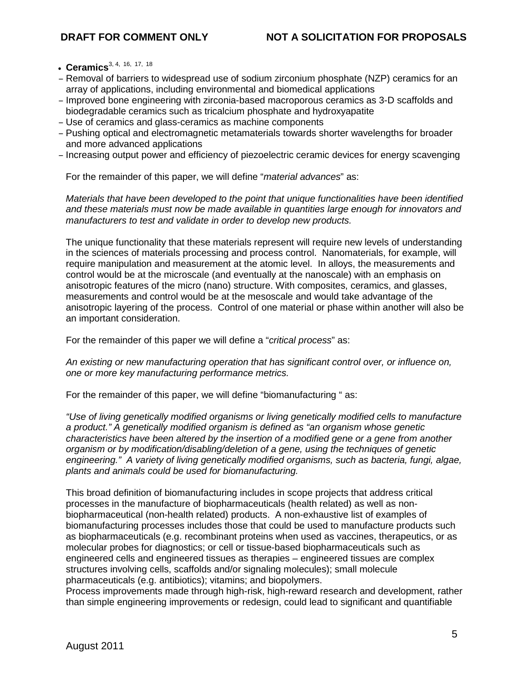- Ceramics<sup>[3,](#page-1-1) [4,](#page-1-2) 16, 17, 18</sup>
- Removal of barriers to widespread use of sodium zirconium phosphate (NZP) ceramics for an array of applications, including environmental and biomedical applications
- Improved bone engineering with zirconia-based macroporous ceramics as 3-D scaffolds and biodegradable ceramics such as tricalcium phosphate and hydroxyapatite
- Use of ceramics and glass-ceramics as machine components
- Pushing optical and electromagnetic metamaterials towards shorter wavelengths for broader and more advanced applications
- Increasing output power and efficiency of piezoelectric ceramic devices for energy scavenging

For the remainder of this paper, we will define "*material advances*" as:

*Materials that have been developed to the point that unique functionalities have been identified and these materials must now be made available in quantities large enough for innovators and manufacturers to test and validate in order to develop new products.*

The unique functionality that these materials represent will require new levels of understanding in the sciences of materials processing and process control. Nanomaterials, for example, will require manipulation and measurement at the atomic level. In alloys, the measurements and control would be at the microscale (and eventually at the nanoscale) with an emphasis on anisotropic features of the micro (nano) structure. With composites, ceramics, and glasses, measurements and control would be at the mesoscale and would take advantage of the anisotropic layering of the process. Control of one material or phase within another will also be an important consideration.

For the remainder of this paper we will define a "*critical process*" as:

*An existing or new manufacturing operation that has significant control over, or influence on, one or more key manufacturing performance metrics.* 

For the remainder of this paper, we will define "biomanufacturing " as:

*"Use of living genetically modified organisms or living genetically modified cells to manufacture a product." A genetically modified organism is defined as "an organism whose genetic characteristics have been altered by the insertion of a modified gene or a gene from another organism or by modification/disabling/deletion of a gene, using the techniques of genetic engineering." A variety of living genetically modified organisms, such as bacteria, fungi, algae, plants and animals could be used for biomanufacturing.*

This broad definition of biomanufacturing includes in scope projects that address critical processes in the manufacture of biopharmaceuticals (health related) as well as nonbiopharmaceutical (non-health related) products. A non-exhaustive list of examples of biomanufacturing processes includes those that could be used to manufacture products such as biopharmaceuticals (e.g. recombinant proteins when used as vaccines, therapeutics, or as molecular probes for diagnostics; or cell or tissue-based biopharmaceuticals such as engineered cells and engineered tissues as therapies – engineered tissues are complex structures involving cells, scaffolds and/or signaling molecules); small molecule pharmaceuticals (e.g. antibiotics); vitamins; and biopolymers.

Process improvements made through high-risk, high-reward research and development, rather than simple engineering improvements or redesign, could lead to significant and quantifiable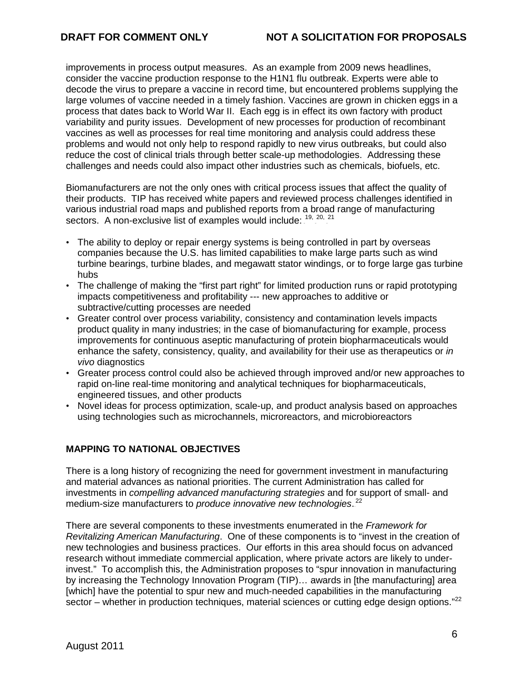improvements in process output measures. As an example from 2009 news headlines, consider the vaccine production response to the H1N1 flu outbreak. Experts were able to decode the virus to prepare a vaccine in record time, but encountered problems supplying the large volumes of vaccine needed in a timely fashion. Vaccines are grown in chicken eggs in a process that dates back to World War II. Each egg is in effect its own factory with product variability and purity issues. Development of new processes for production of recombinant vaccines as well as processes for real time monitoring and analysis could address these problems and would not only help to respond rapidly to new virus outbreaks, but could also reduce the cost of clinical trials through better scale-up methodologies. Addressing these challenges and needs could also impact other industries such as chemicals, biofuels, etc.

Biomanufacturers are not the only ones with critical process issues that affect the quality of their products. TIP has received white papers and reviewed process challenges identified in various industrial road maps and published reports from a broad range of manufacturing sectors. A non-exclusive list of examples would include:  $19, 20, 21$ 

- The ability to deploy or repair energy systems is being controlled in part by overseas companies because the U.S. has limited capabilities to make large parts such as wind turbine bearings, turbine blades, and megawatt stator windings, or to forge large gas turbine hubs
- The challenge of making the "first part right" for limited production runs or rapid prototyping impacts competitiveness and profitability --- new approaches to additive or subtractive/cutting processes are needed
- Greater control over process variability, consistency and contamination levels impacts product quality in many industries; in the case of biomanufacturing for example, process improvements for continuous aseptic manufacturing of protein biopharmaceuticals would enhance the safety, consistency, quality, and availability for their use as therapeutics or *in vivo* diagnostics
- Greater process control could also be achieved through improved and/or new approaches to rapid on-line real-time monitoring and analytical techniques for biopharmaceuticals, engineered tissues, and other products
- Novel ideas for process optimization, scale-up, and product analysis based on approaches using technologies such as microchannels, microreactors, and microbioreactors

# **MAPPING TO NATIONAL OBJECTIVES**

There is a long history of recognizing the need for government investment in manufacturing and material advances as national priorities. The current Administration has called for investments in *compelling advanced manufacturing strategies* and for support of small- and medium-size manufacturers to *produce innovative new technologies*.<sup>22</sup>

<span id="page-5-0"></span>There are several components to these investments enumerated in the *Framework for Revitalizing American Manufacturing*. One of these components is to "invest in the creation of new technologies and business practices. Our efforts in this area should focus on advanced research without immediate commercial application, where private actors are likely to underinvest." To accomplish this, the Administration proposes to "spur innovation in manufacturing by increasing the Technology Innovation Program (TIP)… awards in [the manufacturing] area [which] have the potential to spur new and much-needed capabilities in the manufacturing sector – whether in production techniques, material sciences or cutting edge design options."<sup>[22](#page-5-0)</sup>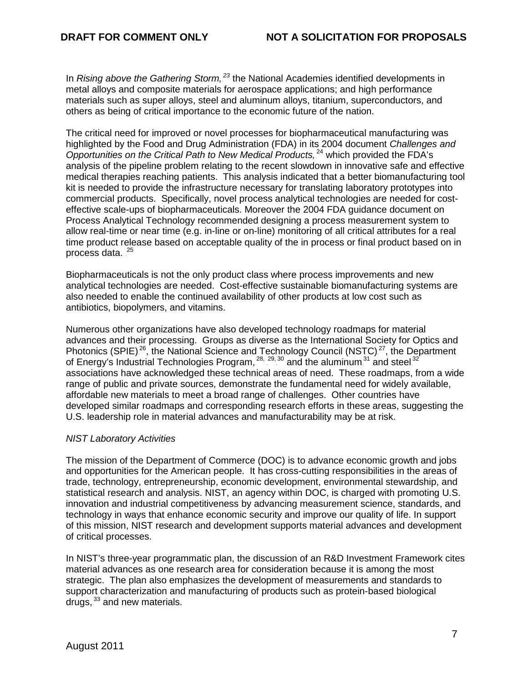In *Rising above the Gathering Storm,<sup>23</sup>* the National Academies identified developments in metal alloys and composite materials for aerospace applications; and high performance materials such as super alloys, steel and aluminum alloys, titanium, superconductors, and others as being of critical importance to the economic future of the nation.

The critical need for improved or novel processes for biopharmaceutical manufacturing was highlighted by the Food and Drug Administration (FDA) in its 2004 document *Challenges and*  Opportunities on the Critical Path to New Medical Products,<sup>24</sup> which provided the FDA's analysis of the pipeline problem relating to the recent slowdown in innovative safe and effective medical therapies reaching patients. This analysis indicated that a better biomanufacturing tool kit is needed to provide the infrastructure necessary for translating laboratory prototypes into commercial products. Specifically, novel process analytical technologies are needed for costeffective scale-ups of biopharmaceuticals. Moreover the 2004 FDA guidance document on Process Analytical Technology recommended designing a process measurement system to allow real-time or near time (e.g. in-line or on-line) monitoring of all critical attributes for a real time product release based on acceptable quality of the in process or final product based on in process data.<sup>25</sup>

Biopharmaceuticals is not the only product class where process improvements and new analytical technologies are needed. Cost-effective sustainable biomanufacturing systems are also needed to enable the continued availability of other products at low cost such as antibiotics, biopolymers, and vitamins.

Numerous other organizations have also developed technology roadmaps for material advances and their processing. Groups as diverse as the International Society for Optics and Photonics (SPIE) $^{26}$ , the National Science and Technology Council (NSTC) $^{27}$ , the Department of Energy's Industrial Technologies Program,  $^{28, 29, 30}$  and the aluminum. $^{31}$  and steel. $^{32}$ associations have acknowledged these technical areas of need. These roadmaps, from a wide range of public and private sources, demonstrate the fundamental need for widely available, affordable new materials to meet a broad range of challenges. Other countries have developed similar roadmaps and corresponding research efforts in these areas, suggesting the U.S. leadership role in material advances and manufacturability may be at risk.

#### *NIST Laboratory Activities*

The mission of the Department of Commerce (DOC) is to advance economic growth and jobs and opportunities for the American people. It has cross-cutting responsibilities in the areas of trade, technology, entrepreneurship, economic development, environmental stewardship, and statistical research and analysis. NIST, an agency within DOC, is charged with promoting U.S. innovation and industrial competitiveness by advancing measurement science, standards, and technology in ways that enhance economic security and improve our quality of life. In support of this mission, NIST research and development supports material advances and development of critical processes.

In NIST's three-year programmatic plan, the discussion of an R&D Investment Framework cites material advances as one research area for consideration because it is among the most strategic. The plan also emphasizes the development of measurements and standards to support characterization and manufacturing of products such as protein-based biological drugs, 33 and new materials.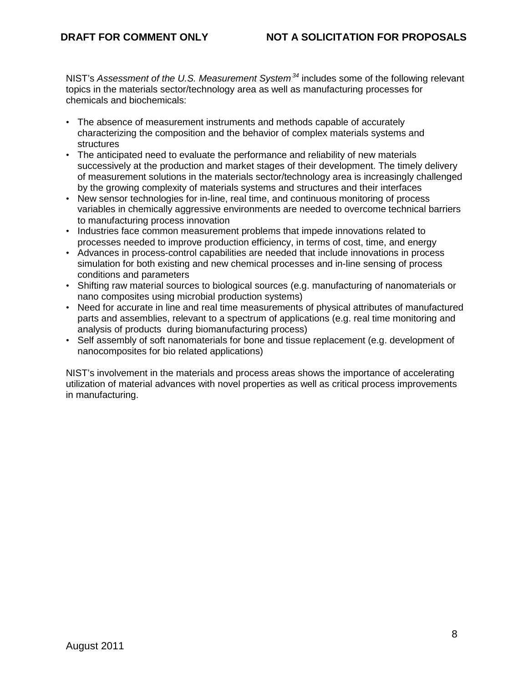NIST's Assessment of the U.S. Measurement System<sup>34</sup> includes some of the following relevant topics in the materials sector/technology area as well as manufacturing processes for chemicals and biochemicals:

- The absence of measurement instruments and methods capable of accurately characterizing the composition and the behavior of complex materials systems and structures
- The anticipated need to evaluate the performance and reliability of new materials successively at the production and market stages of their development. The timely delivery of measurement solutions in the materials sector/technology area is increasingly challenged by the growing complexity of materials systems and structures and their interfaces
- New sensor technologies for in-line, real time, and continuous monitoring of process variables in chemically aggressive environments are needed to overcome technical barriers to manufacturing process innovation
- Industries face common measurement problems that impede innovations related to processes needed to improve production efficiency, in terms of cost, time, and energy
- Advances in process-control capabilities are needed that include innovations in process simulation for both existing and new chemical processes and in-line sensing of process conditions and parameters
- Shifting raw material sources to biological sources (e.g. manufacturing of nanomaterials or nano composites using microbial production systems)
- Need for accurate in line and real time measurements of physical attributes of manufactured parts and assemblies, relevant to a spectrum of applications (e.g. real time monitoring and analysis of products during biomanufacturing process)
- Self assembly of soft nanomaterials for bone and tissue replacement (e.g. development of nanocomposites for bio related applications)

NIST's involvement in the materials and process areas shows the importance of accelerating utilization of material advances with novel properties as well as critical process improvements in manufacturing.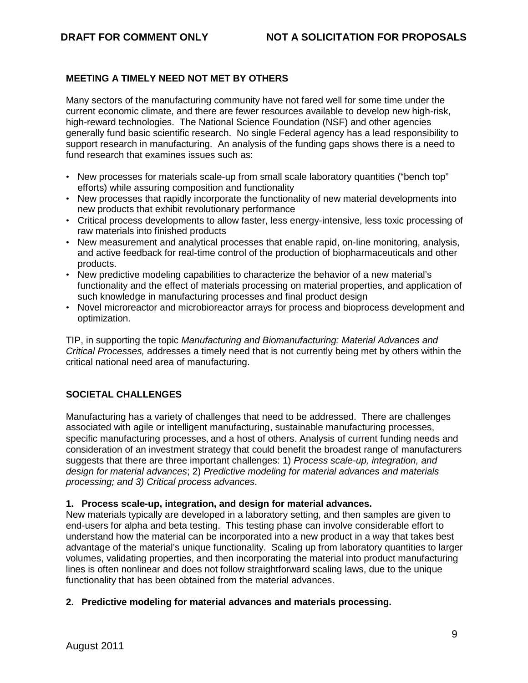# **MEETING A TIMELY NEED NOT MET BY OTHERS**

Many sectors of the manufacturing community have not fared well for some time under the current economic climate, and there are fewer resources available to develop new high-risk, high-reward technologies. The National Science Foundation (NSF) and other agencies generally fund basic scientific research. No single Federal agency has a lead responsibility to support research in manufacturing. An analysis of the funding gaps shows there is a need to fund research that examines issues such as:

- New processes for materials scale-up from small scale laboratory quantities ("bench top" efforts) while assuring composition and functionality
- New processes that rapidly incorporate the functionality of new material developments into new products that exhibit revolutionary performance
- Critical process developments to allow faster, less energy-intensive, less toxic processing of raw materials into finished products
- New measurement and analytical processes that enable rapid, on-line monitoring, analysis, and active feedback for real-time control of the production of biopharmaceuticals and other products.
- New predictive modeling capabilities to characterize the behavior of a new material's functionality and the effect of materials processing on material properties, and application of such knowledge in manufacturing processes and final product design
- Novel microreactor and microbioreactor arrays for process and bioprocess development and optimization.

TIP, in supporting the topic *Manufacturing and Biomanufacturing: Material Advances and Critical Processes,* addresses a timely need that is not currently being met by others within the critical national need area of manufacturing.

# **SOCIETAL CHALLENGES**

Manufacturing has a variety of challenges that need to be addressed. There are challenges associated with agile or intelligent manufacturing, sustainable manufacturing processes, specific manufacturing processes, and a host of others. Analysis of current funding needs and consideration of an investment strategy that could benefit the broadest range of manufacturers suggests that there are three important challenges: 1) *Process scale-up, integration, and design for material advances*; 2) *Predictive modeling for material advances and materials processing; and 3) Critical process advances*.

#### **1. Process scale-up, integration, and design for material advances.**

New materials typically are developed in a laboratory setting, and then samples are given to end-users for alpha and beta testing. This testing phase can involve considerable effort to understand how the material can be incorporated into a new product in a way that takes best advantage of the material's unique functionality. Scaling up from laboratory quantities to larger volumes, validating properties, and then incorporating the material into product manufacturing lines is often nonlinear and does not follow straightforward scaling laws, due to the unique functionality that has been obtained from the material advances.

#### **2. Predictive modeling for material advances and materials processing.**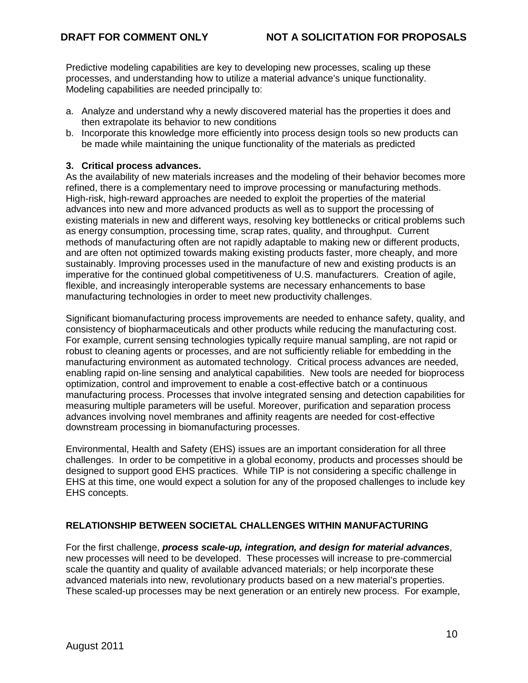Predictive modeling capabilities are key to developing new processes, scaling up these processes, and understanding how to utilize a material advance's unique functionality. Modeling capabilities are needed principally to:

- a. Analyze and understand why a newly discovered material has the properties it does and then extrapolate its behavior to new conditions
- b. Incorporate this knowledge more efficiently into process design tools so new products can be made while maintaining the unique functionality of the materials as predicted

#### **3. Critical process advances.**

As the availability of new materials increases and the modeling of their behavior becomes more refined, there is a complementary need to improve processing or manufacturing methods. High-risk, high-reward approaches are needed to exploit the properties of the material advances into new and more advanced products as well as to support the processing of existing materials in new and different ways, resolving key bottlenecks or critical problems such as energy consumption, processing time, scrap rates, quality, and throughput. Current methods of manufacturing often are not rapidly adaptable to making new or different products, and are often not optimized towards making existing products faster, more cheaply, and more sustainably. Improving processes used in the manufacture of new and existing products is an imperative for the continued global competitiveness of U.S. manufacturers. Creation of agile, flexible, and increasingly interoperable systems are necessary enhancements to base manufacturing technologies in order to meet new productivity challenges.

Significant biomanufacturing process improvements are needed to enhance safety, quality, and consistency of biopharmaceuticals and other products while reducing the manufacturing cost. For example, current sensing technologies typically require manual sampling, are not rapid or robust to cleaning agents or processes, and are not sufficiently reliable for embedding in the manufacturing environment as automated technology. Critical process advances are needed, enabling rapid on-line sensing and analytical capabilities. New tools are needed for bioprocess optimization, control and improvement to enable a cost-effective batch or a continuous manufacturing process. Processes that involve integrated sensing and detection capabilities for measuring multiple parameters will be useful. Moreover, purification and separation process advances involving novel membranes and affinity reagents are needed for cost-effective downstream processing in biomanufacturing processes.

Environmental, Health and Safety (EHS) issues are an important consideration for all three challenges. In order to be competitive in a global economy, products and processes should be designed to support good EHS practices. While TIP is not considering a specific challenge in EHS at this time, one would expect a solution for any of the proposed challenges to include key EHS concepts.

# **RELATIONSHIP BETWEEN SOCIETAL CHALLENGES WITHIN MANUFACTURING**

For the first challenge, *process scale-up, integration, and design for material advances*, new processes will need to be developed. These processes will increase to pre-commercial scale the quantity and quality of available advanced materials; or help incorporate these advanced materials into new, revolutionary products based on a new material's properties. These scaled-up processes may be next generation or an entirely new process. For example,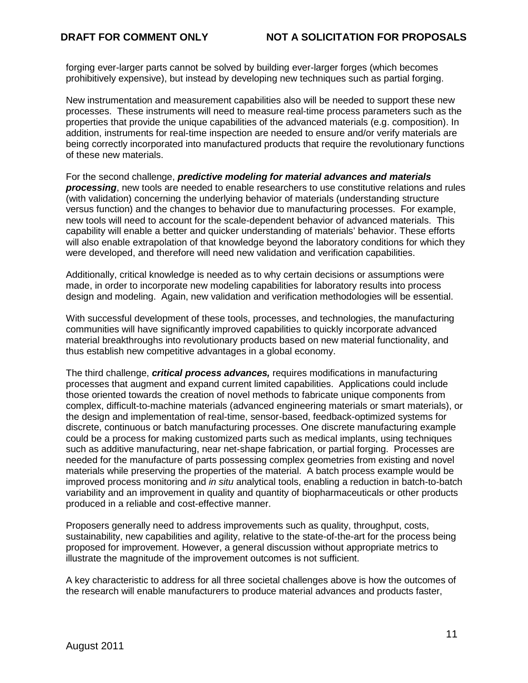forging ever-larger parts cannot be solved by building ever-larger forges (which becomes prohibitively expensive), but instead by developing new techniques such as partial forging.

New instrumentation and measurement capabilities also will be needed to support these new processes. These instruments will need to measure real-time process parameters such as the properties that provide the unique capabilities of the advanced materials (e.g. composition). In addition, instruments for real-time inspection are needed to ensure and/or verify materials are being correctly incorporated into manufactured products that require the revolutionary functions of these new materials.

For the second challenge, *predictive modeling for material advances and materials processing*, new tools are needed to enable researchers to use constitutive relations and rules (with validation) concerning the underlying behavior of materials (understanding structure versus function) and the changes to behavior due to manufacturing processes. For example, new tools will need to account for the scale-dependent behavior of advanced materials. This capability will enable a better and quicker understanding of materials' behavior. These efforts will also enable extrapolation of that knowledge beyond the laboratory conditions for which they were developed, and therefore will need new validation and verification capabilities.

Additionally, critical knowledge is needed as to why certain decisions or assumptions were made, in order to incorporate new modeling capabilities for laboratory results into process design and modeling. Again, new validation and verification methodologies will be essential.

With successful development of these tools, processes, and technologies, the manufacturing communities will have significantly improved capabilities to quickly incorporate advanced material breakthroughs into revolutionary products based on new material functionality, and thus establish new competitive advantages in a global economy.

The third challenge, *critical process advances,* requires modifications in manufacturing processes that augment and expand current limited capabilities. Applications could include those oriented towards the creation of novel methods to fabricate unique components from complex, difficult-to-machine materials (advanced engineering materials or smart materials), or the design and implementation of real-time, sensor-based, feedback-optimized systems for discrete, continuous or batch manufacturing processes. One discrete manufacturing example could be a process for making customized parts such as medical implants, using techniques such as additive manufacturing, near net-shape fabrication, or partial forging. Processes are needed for the manufacture of parts possessing complex geometries from existing and novel materials while preserving the properties of the material. A batch process example would be improved process monitoring and *in situ* analytical tools, enabling a reduction in batch-to-batch variability and an improvement in quality and quantity of biopharmaceuticals or other products produced in a reliable and cost-effective manner.

Proposers generally need to address improvements such as quality, throughput, costs, sustainability, new capabilities and agility, relative to the state-of-the-art for the process being proposed for improvement. However, a general discussion without appropriate metrics to illustrate the magnitude of the improvement outcomes is not sufficient.

A key characteristic to address for all three societal challenges above is how the outcomes of the research will enable manufacturers to produce material advances and products faster,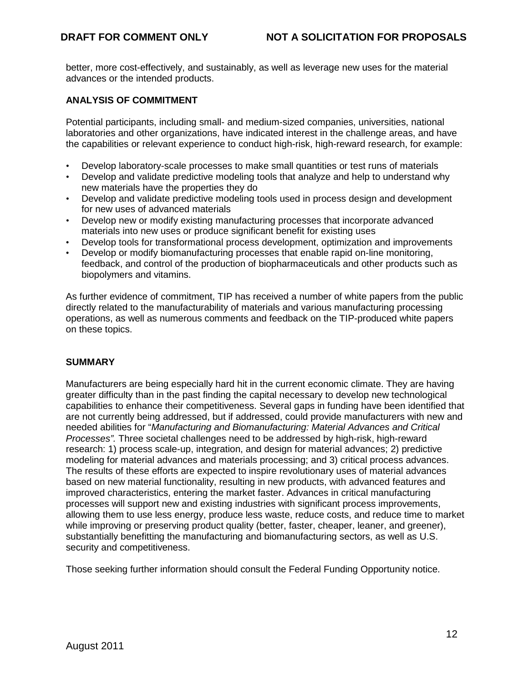better, more cost-effectively, and sustainably, as well as leverage new uses for the material advances or the intended products.

#### **ANALYSIS OF COMMITMENT**

Potential participants, including small- and medium-sized companies, universities, national laboratories and other organizations, have indicated interest in the challenge areas, and have the capabilities or relevant experience to conduct high-risk, high-reward research, for example:

- Develop laboratory-scale processes to make small quantities or test runs of materials
- Develop and validate predictive modeling tools that analyze and help to understand why new materials have the properties they do
- Develop and validate predictive modeling tools used in process design and development for new uses of advanced materials
- Develop new or modify existing manufacturing processes that incorporate advanced materials into new uses or produce significant benefit for existing uses
- Develop tools for transformational process development, optimization and improvements
- Develop or modify biomanufacturing processes that enable rapid on-line monitoring, feedback, and control of the production of biopharmaceuticals and other products such as biopolymers and vitamins.

As further evidence of commitment, TIP has received a number of white papers from the public directly related to the manufacturability of materials and various manufacturing processing operations, as well as numerous comments and feedback on the TIP-produced white papers on these topics.

#### **SUMMARY**

Manufacturers are being especially hard hit in the current economic climate. They are having greater difficulty than in the past finding the capital necessary to develop new technological capabilities to enhance their competitiveness. Several gaps in funding have been identified that are not currently being addressed, but if addressed, could provide manufacturers with new and needed abilities for "*Manufacturing and Biomanufacturing: Material Advances and Critical Processes".* Three societal challenges need to be addressed by high-risk, high-reward research: 1) process scale-up, integration, and design for material advances; 2) predictive modeling for material advances and materials processing; and 3) critical process advances. The results of these efforts are expected to inspire revolutionary uses of material advances based on new material functionality, resulting in new products, with advanced features and improved characteristics, entering the market faster. Advances in critical manufacturing processes will support new and existing industries with significant process improvements, allowing them to use less energy, produce less waste, reduce costs, and reduce time to market while improving or preserving product quality (better, faster, cheaper, leaner, and greener), substantially benefitting the manufacturing and biomanufacturing sectors, as well as U.S. security and competitiveness.

Those seeking further information should consult the Federal Funding Opportunity notice.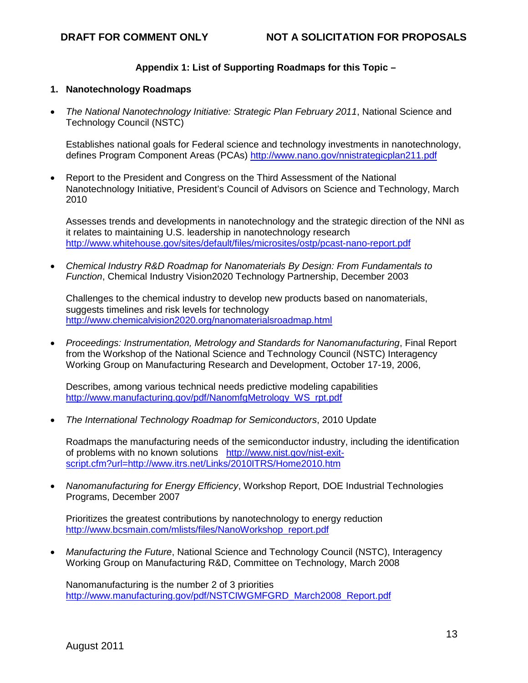# **Appendix 1: List of Supporting Roadmaps for this Topic –**

#### **1. Nanotechnology Roadmaps**

• *The National Nanotechnology Initiative: Strategic Plan February 2011*, National Science and Technology Council (NSTC)

Establishes national goals for Federal science and technology investments in nanotechnology, defines Program Component Areas (PCAs) [http://www.nano.gov/nnistrategicplan211.pdf](http://www.nist.gov/nist-exit-script.cfm?url=http://www.nano.gov/nnistrategicplan211.pdf)

• Report to the President and Congress on the Third Assessment of the National Nanotechnology Initiative, President's Council of Advisors on Science and Technology, March 2010

Assesses trends and developments in nanotechnology and the strategic direction of the NNI as it relates to maintaining U.S. leadership in nanotechnology research [http://www.whitehouse.gov/sites/default/files/microsites/ostp/pcast-nano-report.pdf](http://www.nist.gov/nist-exit-script.cfm?url=http://www.whitehouse.gov/sites/default/files/microsites/ostp/pcast-nano-report.pdf)

• *Chemical Industry R&D Roadmap for Nanomaterials By Design: From Fundamentals to Function*, Chemical Industry Vision2020 Technology Partnership, December 2003

Challenges to the chemical industry to develop new products based on nanomaterials, suggests timelines and risk levels for technology [http://www.chemicalvision2020.org/nanomaterialsroadmap.html](http://www.nist.gov/nist-exit-script.cfm?url=http://www.chemicalvision2020.org/nanomaterialsroadmap.html)

• *Proceedings: Instrumentation, Metrology and Standards for Nanomanufacturing*, Final Report from the Workshop of the National Science and Technology Council (NSTC) Interagency Working Group on Manufacturing Research and Development, October 17-19, 2006,

Describes, among various technical needs predictive modeling capabilities [http://www.manufacturing.gov/pdf/NanomfgMetrology\\_WS\\_rpt.pdf](http://www.nist.gov/nist-exit-script.cfm?url=http://www.manufacturing.gov/pdf/NanomfgMetrology_WS_rpt.pdf)

• *The International Technology Roadmap for Semiconductors*, 2010 Update

Roadmaps the manufacturing needs of the semiconductor industry, including the identification of problems with no known solutions [http://www.nist.gov/nist-exit](http://www.nist.gov/nist-exit-script.cfm?url=http://www.itrs.net/Links/2010ITRS/Home2010.htm)[script.cfm?url=http://www.itrs.net/Links/2010ITRS/Home2010.htm](http://www.nist.gov/nist-exit-script.cfm?url=http://www.itrs.net/Links/2010ITRS/Home2010.htm)

• *Nanomanufacturing for Energy Efficiency*, Workshop Report, DOE Industrial Technologies Programs, December 2007

Prioritizes the greatest contributions by nanotechnology to energy reduction [http://www.bcsmain.com/mlists/files/NanoWorkshop\\_report.pdf](http://www.nist.gov/nist-exit-script.cfm?url=http://www.bcsmain.com/mlists/files/NanoWorkshop_report.pdf)

• *Manufacturing the Future*, National Science and Technology Council (NSTC), Interagency Working Group on Manufacturing R&D, Committee on Technology, March 2008

Nanomanufacturing is the number 2 of 3 priorities [http://www.manufacturing.gov/pdf/NSTCIWGMFGRD\\_March2008\\_Report.pdf](http://www.nist.gov/nist-exit-script.cfm?url=http://www.manufacturing.gov/pdf/NSTCIWGMFGRD_March2008_Report.pdf)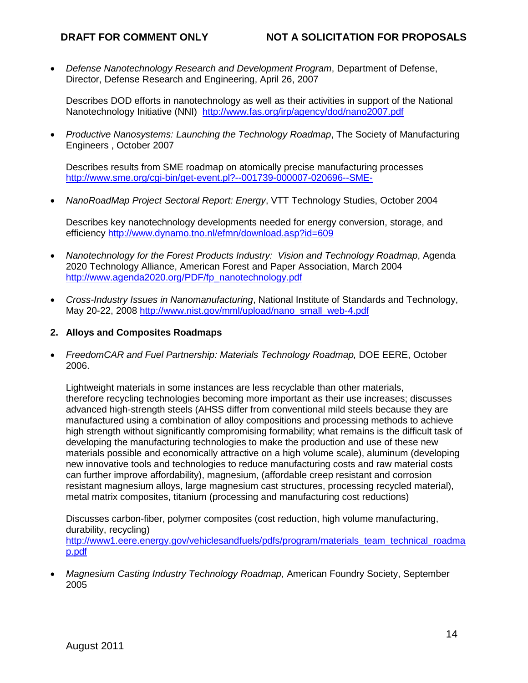• *Defense Nanotechnology Research and Development Program*, Department of Defense, Director, Defense Research and Engineering, April 26, 2007

Describes DOD efforts in nanotechnology as well as their activities in support of the National Nanotechnology Initiative (NNI) [http://www.fas.org/irp/agency/dod/nano2007.pdf](http://www.nist.gov/nist-exit-script.cfm?url=http://www.fas.org/irp/agency/dod/nano2007.pdf)

• *Productive Nanosystems: Launching the Technology Roadmap*, The Society of Manufacturing Engineers , October 2007

Describes results from SME roadmap on atomically precise manufacturing processes [http://www.sme.org/cgi-bin/get-event.pl?--001739-000007-020696--SME-](http://www.nist.gov/nist-exit-script.cfm?url=http://www.sme.org/cgi-bin/get-event.pl?--001739-000007-020696--SME-)

• *NanoRoadMap Project Sectoral Report: Energy*, VTT Technology Studies, October 2004

Describes key nanotechnology developments needed for energy conversion, storage, and efficiency [http://www.dynamo.tno.nl/efmn/download.asp?id=609](http://www.nist.gov/nist-exit-script.cfm?url=http://www.dynamo.tno.nl/efmn/download.asp?id=609)

- *Nanotechnology for the Forest Products Industry: Vision and Technology Roadmap*, Agenda 2020 Technology Alliance, American Forest and Paper Association, March 2004 [http://www.agenda2020.org/PDF/fp\\_nanotechnology.pdf](http://www.nist.gov/nist-exit-script.cfm?url=http://www.agenda2020.org/PDF/fp_nanotechnology.pdf)
- *Cross-Industry Issues in Nanomanufacturing*, National Institute of Standards and Technology, May 20-22, 2008 [http://www.nist.gov/mml/upload/nano\\_small\\_web-4.pdf](http://www.nist.gov/nist-exit-script.cfm?url=http://www.nist.gov/mml/upload/nano_small_web-4.pdf)
- **2. Alloys and Composites Roadmaps**
- *FreedomCAR and Fuel Partnership: Materials Technology Roadmap,* DOE EERE, October 2006.

Lightweight materials in some instances are less recyclable than other materials, therefore recycling technologies becoming more important as their use increases; discusses advanced high-strength steels (AHSS differ from conventional mild steels because they are manufactured using a combination of alloy compositions and processing methods to achieve high strength without significantly compromising formability; what remains is the difficult task of developing the manufacturing technologies to make the production and use of these new materials possible and economically attractive on a high volume scale), aluminum (developing new innovative tools and technologies to reduce manufacturing costs and raw material costs can further improve affordability), magnesium, (affordable creep resistant and corrosion resistant magnesium alloys, large magnesium cast structures, processing recycled material), metal matrix composites, titanium (processing and manufacturing cost reductions)

Discusses carbon-fiber, polymer composites (cost reduction, high volume manufacturing, durability, recycling) [http://www1.eere.energy.gov/vehiclesandfuels/pdfs/program/materials\\_team\\_technical\\_roadma](http://www.nist.gov/nist-exit-script.cfm?url=http://www1.eere.energy.gov/vehiclesandfuels/pdfs/program/materials_team_technical_roadmap.pdf) [p.pdf](http://www.nist.gov/nist-exit-script.cfm?url=http://www1.eere.energy.gov/vehiclesandfuels/pdfs/program/materials_team_technical_roadmap.pdf)

• *Magnesium Casting Industry Technology Roadmap,* American Foundry Society, September 2005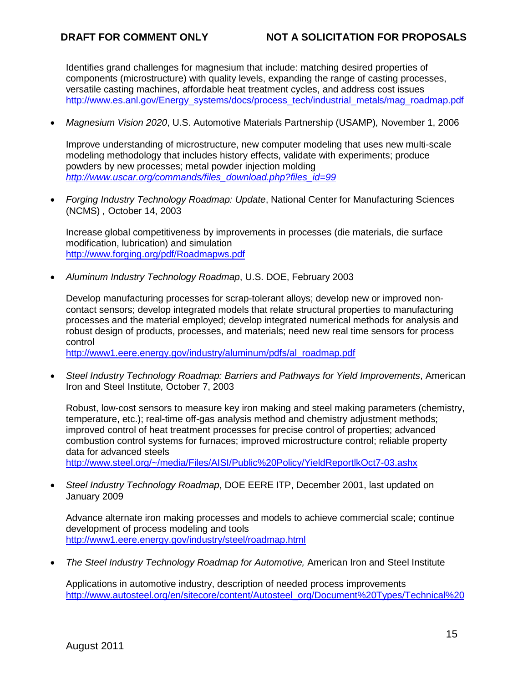Identifies grand challenges for magnesium that include: matching desired properties of components (microstructure) with quality levels, expanding the range of casting processes, versatile casting machines, affordable heat treatment cycles, and address cost issues [http://www.es.anl.gov/Energy\\_systems/docs/process\\_tech/industrial\\_metals/mag\\_roadmap.pdf](http://www.nist.gov/nist-exit-script.cfm?url=http://www.es.anl.gov/Energy_systems/docs/process_tech/industrial_metals/mag_roadmap.pdf)

• *Magnesium Vision 2020*, U.S. Automotive Materials Partnership (USAMP)*,* November 1, 2006

Improve understanding of microstructure, new computer modeling that uses new multi-scale modeling methodology that includes history effects, validate with experiments; produce powders by new processes; metal powder injection molding *[http://www.uscar.org/commands/files\\_download.php?files\\_id=99](http://www.nist.gov/nist-exit-script.cfm?url=http://www.uscar.org/commands/files_download.php?files_id=99)*

• *Forging Industry Technology Roadmap: Update*, National Center for Manufacturing Sciences (NCMS) *,* October 14, 2003

Increase global competitiveness by improvements in processes (die materials, die surface modification, lubrication) and simulation [http://www.forging.org/pdf/Roadmapws.pdf](http://www.nist.gov/nist-exit-script.cfm?url=http://www.forging.org/pdf/Roadmapws.pdf)

• *Aluminum Industry Technology Roadmap*, U.S. DOE, February 2003

Develop manufacturing processes for scrap-tolerant alloys; develop new or improved noncontact sensors; develop integrated models that relate structural properties to manufacturing processes and the material employed; develop integrated numerical methods for analysis and robust design of products, processes, and materials; need new real time sensors for process control

[http://www1.eere.energy.gov/industry/aluminum/pdfs/al\\_roadmap.pdf](http://www.nist.gov/nist-exit-script.cfm?url=http://www1.eere.energy.gov/industry/aluminum/pdfs/al_roadmap.pdf)

• *Steel Industry Technology Roadmap: Barriers and Pathways for Yield Improvements*, American Iron and Steel Institute*,* October 7, 2003

Robust, low-cost sensors to measure key iron making and steel making parameters (chemistry, temperature, etc.); real-time off-gas analysis method and chemistry adjustment methods; improved control of heat treatment processes for precise control of properties; advanced combustion control systems for furnaces; improved microstructure control; reliable property data for advanced steels

[http://www.steel.org/~/media/Files/AISI/Public%20Policy/YieldReportlkOct7-03.ashx](http://www.nist.gov/nist-exit-script.cfm?url=http://www.steel.org/~/media/Files/AISI/Public%20Policy/YieldReportlkOct7-03.ashx)

• *Steel Industry Technology Roadmap*, DOE EERE ITP, December 2001, last updated on January 2009

Advance alternate iron making processes and models to achieve commercial scale; continue development of process modeling and tools [http://www1.eere.energy.gov/industry/steel/roadmap.html](http://www.nist.gov/nist-exit-script.cfm?url=http://www1.eere.energy.gov/industry/steel/roadmap.html)

• *The Steel Industry Technology Roadmap for Automotive,* American Iron and Steel Institute

Applications in automotive industry, description of needed process improvements [http://www.autosteel.org/en/sitecore/content/Autosteel\\_org/Document%20Types/Technical%20](http://www.nist.gov/nist-exit-script.cfm?url=http://www.autosteel.org/en/sitecore/content/Autosteel_org/Document%20Types/Technical%20Documents/2006%20and%20Before/The%20Steel%20Industry%20Technology%20Roadmap%20for%20Automotive.aspx)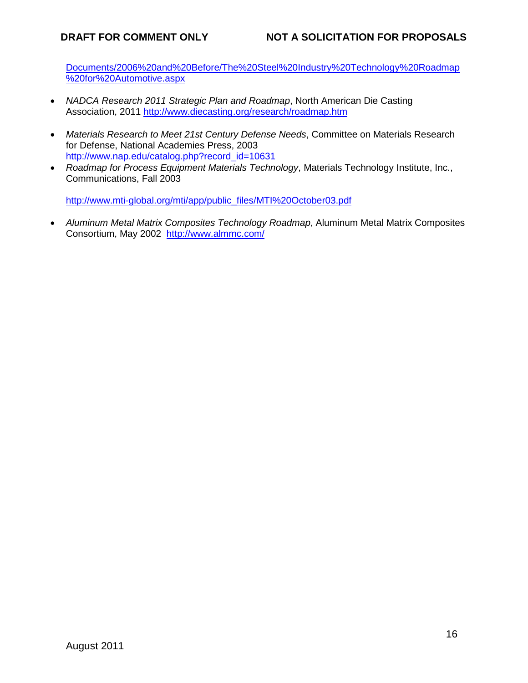Documents/2006%20and%20Before/The%20Steel%20Industry%20Technology%20Roadmap %20for%20Automotive.aspx

- *NADCA Research 2011 Strategic Plan and Roadmap*, North American Die Casting Association, 2011 [http://www.diecasting.org/research/roadmap.htm](http://www.nist.gov/nist-exit-script.cfm?url=http://www.diecasting.org/research/roadmap.htm)
- *Materials Research to Meet 21st Century Defense Needs*, Committee on Materials Research for Defense, National Academies Press, 2003 [http://www.nap.edu/catalog.php?record\\_id=10631](http://www.nist.gov/nist-exit-script.cfm?url=http://www.nap.edu/catalog.php?record_id=10631)
- *Roadmap for Process Equipment Materials Technology*, Materials Technology Institute, Inc., Communications, Fall 2003

[http://www.mti-global.org/mti/app/public\\_files/MTI%20October03.pdf](http://www.nist.gov/nist-exit-script.cfm?url=http://www.mti-global.org/mti/app/public_files/MTI%20October03.pdf)

• *Aluminum Metal Matrix Composites Technology Roadmap*, Aluminum Metal Matrix Composites Consortium, May 2002 [http://www.almmc.com/](http://www.nist.gov/nist-exit-script.cfm?url=http://www.almmc.com/)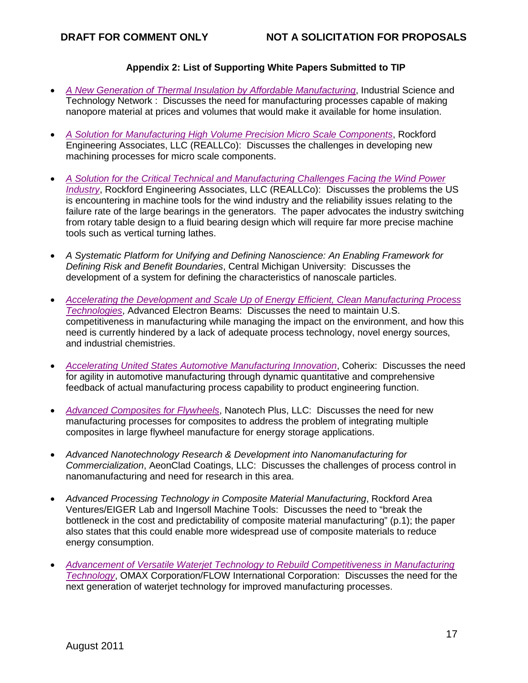# **Appendix 2: List of Supporting White Papers Submitted to TIP**

- *[A New Generation of Thermal Insulation by Affordable Manufacturing](http://www.nist.gov/tip/wp/pswp/upload/59_a_new_generation_of_thermal_insulation.pdf)*, Industrial Science and Technology Network : Discusses the need for manufacturing processes capable of making nanopore material at prices and volumes that would make it available for home insulation.
- *[A Solution for Manufacturing High Volume Precision Micro Scale Components](http://www.nist.gov/tip/wp/pswp/upload/225_a_solution_for_manufacturing_high_volume_precision.pdf)*, Rockford Engineering Associates, LLC (REALLCo): Discusses the challenges in developing new machining processes for micro scale components.
- *[A Solution for the Critical Technical and Manufacturing Challenges Facing the Wind Power](http://www.nist.gov/tip/wp/pswp/upload/13_a_solution_for_critical_technical_manufacturing_wind_power.pdf)  [Industry](http://www.nist.gov/tip/wp/pswp/upload/13_a_solution_for_critical_technical_manufacturing_wind_power.pdf)*, Rockford Engineering Associates, LLC (REALLCo): Discusses the problems the US is encountering in machine tools for the wind industry and the reliability issues relating to the failure rate of the large bearings in the generators. The paper advocates the industry switching from rotary table design to a fluid bearing design which will require far more precise machine tools such as vertical turning lathes.
- *A Systematic Platform for Unifying and Defining Nanoscience: An Enabling Framework for Defining Risk and Benefit Boundaries*, Central Michigan University: Discusses the development of a system for defining the characteristics of nanoscale particles.
- *[Accelerating the Development and Scale Up of Energy Efficient, Clean Manufacturing Process](http://www.nist.gov/tip/wp/pswp/upload/253_accelerating_the_development_scaleup_of_energy.pdf)  [Technologies](http://www.nist.gov/tip/wp/pswp/upload/253_accelerating_the_development_scaleup_of_energy.pdf)*, Advanced Electron Beams: Discusses the need to maintain U.S. competitiveness in manufacturing while managing the impact on the environment, and how this need is currently hindered by a lack of adequate process technology, novel energy sources, and industrial chemistries.
- *[Accelerating United States Automotive Manufacturing Innovation](http://www.nist.gov/tip/wp/pswp/upload/98_accelerating_us_automotive_manufacturing_innovation.pdf)*, Coherix: Discusses the need for agility in automotive manufacturing through dynamic quantitative and comprehensive feedback of actual manufacturing process capability to product engineering function.
- *[Advanced Composites for Flywheels](http://www.nist.gov/tip/wp/pswp/upload/187_advanced_composites_for_flywheels.pdf)*, Nanotech Plus, LLC: Discusses the need for new manufacturing processes for composites to address the problem of integrating multiple composites in large flywheel manufacture for energy storage applications.
- *Advanced Nanotechnology Research & Development into Nanomanufacturing for Commercialization*, AeonClad Coatings, LLC: Discusses the challenges of process control in nanomanufacturing and need for research in this area.
- *Advanced Processing Technology in Composite Material Manufacturing*, Rockford Area Ventures/EIGER Lab and Ingersoll Machine Tools: Discusses the need to "break the bottleneck in the cost and predictability of composite material manufacturing" (p.1); the paper also states that this could enable more widespread use of composite materials to reduce energy consumption.
- *[Advancement of Versatile Waterjet Technology to Rebuild Competitiveness in Manufacturing](http://www.nist.gov/tip/wp/pswp/upload/70_advancement_of_versatile_waterjet_technology_to_rebuild.pdf)  [Technology](http://www.nist.gov/tip/wp/pswp/upload/70_advancement_of_versatile_waterjet_technology_to_rebuild.pdf)*, OMAX Corporation/FLOW International Corporation: Discusses the need for the next generation of waterjet technology for improved manufacturing processes.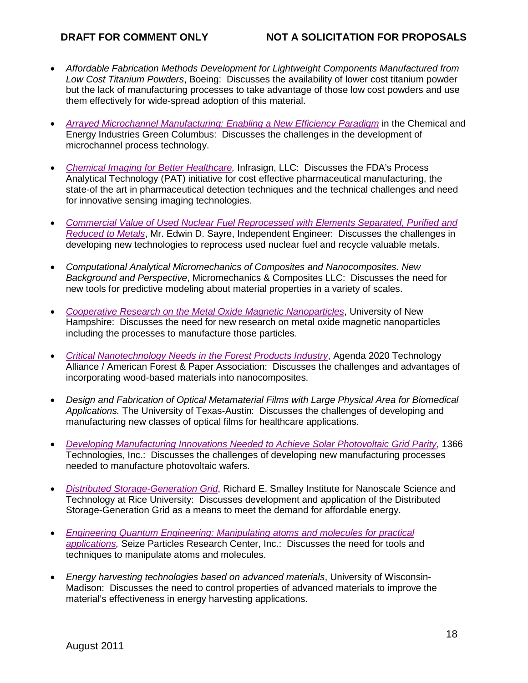- *Affordable Fabrication Methods Development for Lightweight Components Manufactured from Low Cost Titanium Powders*, Boeing: Discusses the availability of lower cost titanium powder but the lack of manufacturing processes to take advantage of those low cost powders and use them effectively for wide-spread adoption of this material.
- *[Arrayed Microchannel Manufacturing: Enabling a New Efficiency Paradigm](http://www.nist.gov/tip/wp/pswp/upload/215_arrayed_microchannel_manufacturing_enabling2.pdf)* in the Chemical and Energy Industries Green Columbus: Discusses the challenges in the development of microchannel process technology.
- *[Chemical Imaging for Better Healthcare,](http://www.nist.gov/tip/wp/pswp/upload/196_chemical_imaging_for_better_healthcare.pdf)* Infrasign, LLC: Discusses the FDA's Process Analytical Technology (PAT) initiative for cost effective pharmaceutical manufacturing, the state-of the art in pharmaceutical detection techniques and the technical challenges and need for innovative sensing imaging technologies.
- *[Commercial Value of Used Nuclear Fuel Reprocessed with Elements Separated, Purified and](http://www.nist.gov/tip/wp/pswp/upload/164_commercial_value_used_nuclear_fuel_reprocessed.pdf)  [Reduced to Metals](http://www.nist.gov/tip/wp/pswp/upload/164_commercial_value_used_nuclear_fuel_reprocessed.pdf)*, Mr. Edwin D. Sayre, Independent Engineer: Discusses the challenges in developing new technologies to reprocess used nuclear fuel and recycle valuable metals.
- *Computational Analytical Micromechanics of Composites and Nanocomposites. New Background and Perspective*, Micromechanics & Composites LLC: Discusses the need for new tools for predictive modeling about material properties in a variety of scales.
- *[Cooperative Research on the Metal Oxide Magnetic Nanoparticles](http://www.nist.gov/tip/wp/pswp/upload/226_cooperative_research_on_metal_oxide_magnetic_nanoparticles.pdf)*, University of New Hampshire: Discusses the need for new research on metal oxide magnetic nanoparticles including the processes to manufacture those particles.
- *[Critical Nanotechnology Needs in the Forest Products Industry](http://www.nist.gov/tip/wp/pswp/upload/176_critical_nanotechnology_needs_in_forest_products_industry.pdf)*, Agenda 2020 Technology Alliance / American Forest & Paper Association: Discusses the challenges and advantages of incorporating wood-based materials into nanocomposites.
- *Design and Fabrication of Optical Metamaterial Films with Large Physical Area for Biomedical Applications.* The University of Texas-Austin: Discusses the challenges of developing and manufacturing new classes of optical films for healthcare applications.
- *[Developing Manufacturing Innovations Needed to Achieve Solar Photovoltaic Grid Parity](http://www.nist.gov/tip/wp/pswp/upload/138_developing_manufacturing_innovations_needed_to_achieve.pdf)*, 1366 Technologies, Inc.: Discusses the challenges of developing new manufacturing processes needed to manufacture photovoltaic wafers.
- *[Distributed Storage-Generation Grid](http://www.nist.gov/tip/wp/pswp/upload/16_distributed_storage_generation_grid.pdf)*, Richard E. Smalley Institute for Nanoscale Science and Technology at Rice University: Discusses development and application of the Distributed Storage-Generation Grid as a means to meet the demand for affordable energy.
- *[Engineering Quantum Engineering: Manipulating atoms and molecules for practical](http://www.nist.gov/tip/wp/pswp/upload/77_engineering_quantum_engineering_manipulating_atoms.pdf)  [applications,](http://www.nist.gov/tip/wp/pswp/upload/77_engineering_quantum_engineering_manipulating_atoms.pdf)* Seize Particles Research Center, Inc.: Discusses the need for tools and techniques to manipulate atoms and molecules.
- *Energy harvesting technologies based on advanced materials*, University of Wisconsin-Madison: Discusses the need to control properties of advanced materials to improve the material's effectiveness in energy harvesting applications.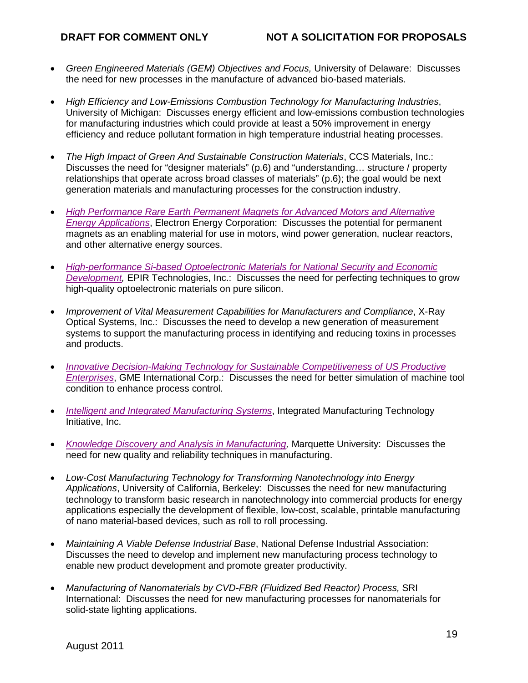- *Green Engineered Materials (GEM) Objectives and Focus,* University of Delaware: Discusses the need for new processes in the manufacture of advanced bio-based materials.
- *High Efficiency and Low-Emissions Combustion Technology for Manufacturing Industries*, University of Michigan: Discusses energy efficient and low-emissions combustion technologies for manufacturing industries which could provide at least a 50% improvement in energy efficiency and reduce pollutant formation in high temperature industrial heating processes.
- *The High Impact of Green And Sustainable Construction Materials*, CCS Materials, Inc.: Discusses the need for "designer materials" (p.6) and "understanding… structure / property relationships that operate across broad classes of materials" (p.6); the goal would be next generation materials and manufacturing processes for the construction industry.
- *[High Performance Rare Earth Permanent Magnets for Advanced Motors and Alternative](http://www.nist.gov/tip/wp/pswp/upload/252_high_performance_rare_earth_permanent_magnets.pdf)  [Energy Applications](http://www.nist.gov/tip/wp/pswp/upload/252_high_performance_rare_earth_permanent_magnets.pdf)*, Electron Energy Corporation: Discusses the potential for permanent magnets as an enabling material for use in motors, wind power generation, nuclear reactors, and other alternative energy sources.
- *[High-performance Si-based Optoelectronic Materials for National Security and Economic](http://www.nist.gov/tip/wp/pswp/upload/190_high_performance_si_based_optoelectronic_materials2.pdf)  Development*, **EPIR Technologies, Inc.: Discusses the need for perfecting techniques to grow** high-quality optoelectronic materials on pure silicon.
- *Improvement of Vital Measurement Capabilities for Manufacturers and Compliance*, X-Ray Optical Systems, Inc.: Discusses the need to develop a new generation of measurement systems to support the manufacturing process in identifying and reducing toxins in processes and products.
- *[Innovative Decision-Making Technology for Sustainable Competitiveness of US Productive](http://www.nist.gov/tip/wp/pswp/upload/217_innovative_decision_making_technology_for_sustainable.pdf)  [Enterprises](http://www.nist.gov/tip/wp/pswp/upload/217_innovative_decision_making_technology_for_sustainable.pdf)*, GME International Corp.: Discusses the need for better simulation of machine tool condition to enhance process control.
- *[Intelligent and Integrated Manufacturing Systems](http://www.nist.gov/tip/wp/pswp/upload/6_intelligent_integrated_manufacturing_systems.pdf)*, Integrated Manufacturing Technology Initiative, Inc.
- *[Knowledge Discovery and Analysis in Manufacturing,](http://www.nist.gov/tip/wp/pswp/upload/207_knowledge_discovery_analysis_in_manufacturing.pdf)* Marguette University: Discusses the need for new quality and reliability techniques in manufacturing.
- *Low-Cost Manufacturing Technology for Transforming Nanotechnology into Energy Applications*, University of California, Berkeley: Discusses the need for new manufacturing technology to transform basic research in nanotechnology into commercial products for energy applications especially the development of flexible, low-cost, scalable, printable manufacturing of nano material-based devices, such as roll to roll processing.
- *Maintaining A Viable Defense Industrial Base*, National Defense Industrial Association: Discusses the need to develop and implement new manufacturing process technology to enable new product development and promote greater productivity.
- *Manufacturing of Nanomaterials by CVD-FBR (Fluidized Bed Reactor) Process,* SRI International: Discusses the need for new manufacturing processes for nanomaterials for solid-state lighting applications.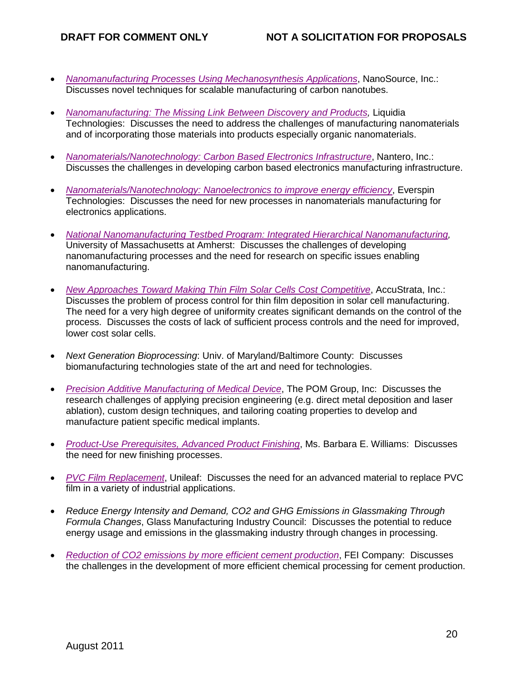- *Nanomanufacturing Processes [Using Mechanosynthesis Applications](http://www.nist.gov/tip/wp/pswp/upload/250_nanomanufacturing_processes_using_mechanosynthesis2.pdf)*, NanoSource, Inc.: Discusses novel techniques for scalable manufacturing of carbon nanotubes.
- *[Nanomanufacturing: The Missing Link Between Discovery and Products,](http://www.nist.gov/tip/wp/pswp/upload/106_nanomanufacturing_missing_link_between_discovery_products.pdf)* Liquidia Technologies: Discusses the need to address the challenges of manufacturing nanomaterials and of incorporating those materials into products especially organic nanomaterials.
- [Nanomaterials/Nanotechnology: Carbon Based Electronics Infrastructure](http://www.nist.gov/tip/wp/pswp/upload/213_nanomaterials_nanotechnology_carbon_based_electronics.pdf), Nantero, Inc.: Discusses the challenges in developing carbon based electronics manufacturing infrastructure.
- *[Nanomaterials/Nanotechnology: Nanoelectronics to improve energy efficiency](http://www.nist.gov/tip/wp/pswp/upload/228_nanomaterials_nanotechnology_nanoelectronics.pdf)*, Everspin Technologies: Discusses the need for new processes in nanomaterials manufacturing for electronics applications.
- *[National Nanomanufacturing Testbed Program: Integrated Hierarchical Nanomanufacturing,](http://www.nist.gov/tip/wp/pswp/upload/200_national_nanomanufacturing.pdf)*  University of Massachusetts at Amherst: Discusses the challenges of developing nanomanufacturing processes and the need for research on specific issues enabling nanomanufacturing.
- *[New Approaches Toward Making Thin Film Solar Cells Cost Competitive](http://www.nist.gov/tip/wp/pswp/upload/43_new_approaches_toward_making_thin_film_solar_cells.pdf)*, AccuStrata, Inc.: Discusses the problem of process control for thin film deposition in solar cell manufacturing. The need for a very high degree of uniformity creates significant demands on the control of the process. Discusses the costs of lack of sufficient process controls and the need for improved, lower cost solar cells.
- *Next Generation Bioprocessing*: Univ. of Maryland/Baltimore County: Discusses biomanufacturing technologies state of the art and need for technologies.
- *[Precision Additive Manufacturing of Medical Device](http://www.nist.gov/tip/wp/pswp/upload/129_precision_additive_manufacturing_of_medical_device.pdf)*, The POM Group, Inc: Discusses the research challenges of applying precision engineering (e.g. direct metal deposition and laser ablation), custom design techniques, and tailoring coating properties to develop and manufacture patient specific medical implants.
- *[Product-Use Prerequisites, Advanced Product Finishing](http://www.nist.gov/tip/wp/pswp/upload/205_product_use_prerequisites_advanced_product_finishing2.pdf)*, Ms. Barbara E. Williams: Discusses the need for new finishing processes.
- *[PVC Film Replacement](http://www.nist.gov/tip/wp/pswp/upload/100_pvc_film_replacement.pdf)*, Unileaf: Discusses the need for an advanced material to replace PVC film in a variety of industrial applications.
- *Reduce Energy Intensity and Demand, CO2 and GHG Emissions in Glassmaking Through Formula Changes*, Glass Manufacturing Industry Council: Discusses the potential to reduce energy usage and emissions in the glassmaking industry through changes in processing.
- *[Reduction of CO2 emissions by more efficient cement production](http://www.nist.gov/tip/wp/pswp/upload/113_reduction_of_co2_emissions_by_more_effieicient_cement.pdf)*, FEI Company: Discusses the challenges in the development of more efficient chemical processing for cement production.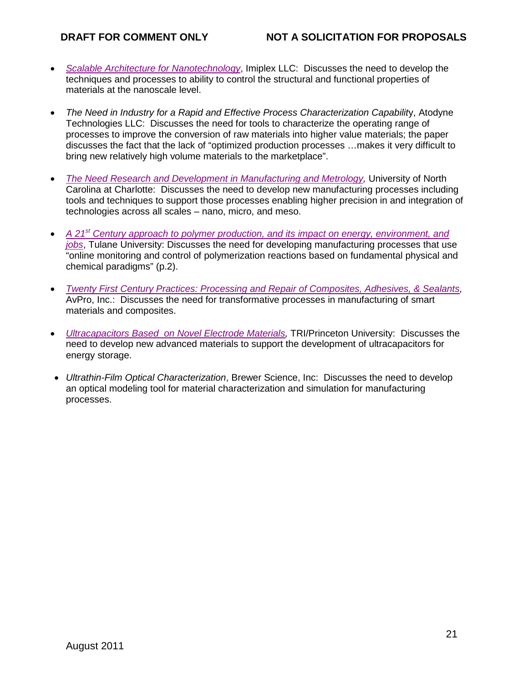- *[Scalable Architecture for Nanotechnology](http://www.nist.gov/tip/wp/pswp/upload/167_scalable_architecture_for_nanotechnology.pdf)*, Imiplex LLC: Discusses the need to develop the techniques and processes to ability to control the structural and functional properties of materials at the nanoscale level.
- *The Need in Industry for a Rapid and Effective Process Characterization Capability, Atodyne* Technologies LLC: Discusses the need for tools to characterize the operating range of processes to improve the conversion of raw materials into higher value materials; the paper discusses the fact that the lack of "optimized production processes …makes it very difficult to bring new relatively high volume materials to the marketplace".
- *[The Need Research and Development in Manufacturing and Metrology,](http://www.nist.gov/tip/wp/pswp/upload/172_the_need_research_development_in_manufacturing.pdf) University of North* Carolina at Charlotte: Discusses the need to develop new manufacturing processes including tools and techniques to support those processes enabling higher precision in and integration of technologies across all scales – nano, micro, and meso.
- *A 21st [Century approach to polymer production, and its](http://www.nist.gov/tip/wp/pswp/upload/37_a_twenty_first_century_approach_to_polymer.pdf) impact on energy, environment, and [jobs](http://www.nist.gov/tip/wp/pswp/upload/37_a_twenty_first_century_approach_to_polymer.pdf)*, Tulane University: Discusses the need for developing manufacturing processes that use "online monitoring and control of polymerization reactions based on fundamental physical and chemical paradigms" (p.2).
- *[Twenty First Century Practices: Processing and Repair of Composites, Adhesives, & Sealants,](http://www.nist.gov/tip/wp/pswp/upload/44_twenty_first_century_practices.pdf)*  AvPro, Inc.: Discusses the need for transformative processes in manufacturing of smart materials and composites.
- *Ultracapacitors Based on Novel Electrode Materials*, **TRI/Princeton University: Discusses the** need to develop new advanced materials to support the development of ultracapacitors for energy storage.
- *Ultrathin-Film Optical Characterization*, Brewer Science, Inc: Discusses the need to develop an optical modeling tool for material characterization and simulation for manufacturing processes.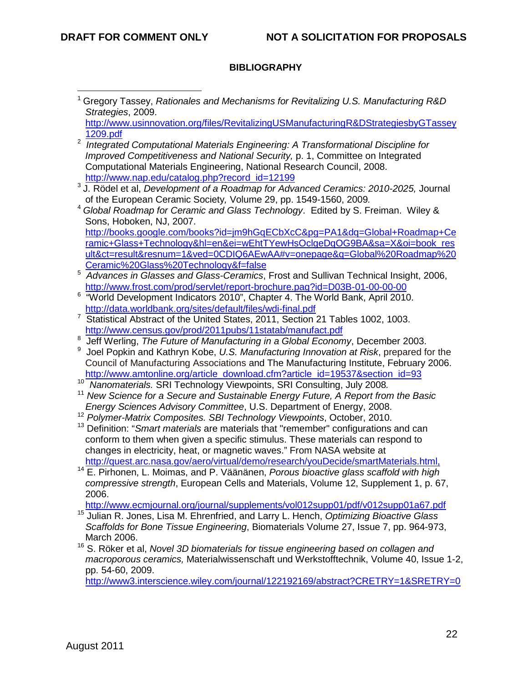$\overline{a}$ 

# **BIBLIOGRAPHY**

- <sup>1</sup> Gregory Tassey, *Rationales and Mechanisms for Revitalizing U.S. Manufacturing R&D Strategies*, 2009. [http://www.usinnovation.org/files/RevitalizingUSManufacturingR&DStrategiesbyGTassey](http://www.nist.gov/nist-exit-script.cfm?url=http://www.usinnovation.org/files/RevitalizingUSManufacturingR&DStrategiesbyGTassey1209.pdf) [1209.pdf](http://www.nist.gov/nist-exit-script.cfm?url=http://www.usinnovation.org/files/RevitalizingUSManufacturingR&DStrategiesbyGTassey1209.pdf) <sup>2</sup> Integrated Computational Materials Engineering: A Transformational Discipline for *Improved Competitiveness and National Security,* p. 1, Committee on Integrated Computational Materials Engineering, National Research Council, 2008. [http://www.nap.edu/catalog.php?record\\_id=12199](http://www.nist.gov/nist-exit-script.cfm?url=http://www.nap.edu/catalog.php?record_id=12199) <sup>3</sup> J. Rödel et al, *Development of a Roadmap for Advanced Ceramics: 2010-2025,* Journal <sup>4</sup> Global Roadmap for Ceramic and Glass Technology. Edited by S. Freiman. Wiley & Sons, Hoboken, NJ, 2007. [http://books.google.com/books?id=jm9hGqECbXcC&pg=PA1&dq=Global+Roadmap+Ce](http://books.google.com/books?id=jm9hGqECbXcC&pg=PA1&dq=Global+Roadmap+Ceramic+Glass+Technology&hl=en&ei=wEhtTYewHsOclgeDqOG9BA&sa=X&oi=book_result&ct=result&resnum=1&ved=0CDIQ6AEwAA#v=onepage&q=Global%20Roadmap%20Ceramic%20Glass%20Technology&f=false) [ramic+Glass+Technology&hl=en&ei=wEhtTYewHsOclgeDqOG9BA&sa=X&oi=book\\_res](http://books.google.com/books?id=jm9hGqECbXcC&pg=PA1&dq=Global+Roadmap+Ceramic+Glass+Technology&hl=en&ei=wEhtTYewHsOclgeDqOG9BA&sa=X&oi=book_result&ct=result&resnum=1&ved=0CDIQ6AEwAA#v=onepage&q=Global%20Roadmap%20Ceramic%20Glass%20Technology&f=false) [ult&ct=result&resnum=1&ved=0CDIQ6AEwAA#v=onepage&q=Global%20Roadmap%20](http://books.google.com/books?id=jm9hGqECbXcC&pg=PA1&dq=Global+Roadmap+Ceramic+Glass+Technology&hl=en&ei=wEhtTYewHsOclgeDqOG9BA&sa=X&oi=book_result&ct=result&resnum=1&ved=0CDIQ6AEwAA#v=onepage&q=Global%20Roadmap%20Ceramic%20Glass%20Technology&f=false) [Ceramic%20Glass%20Technology&f=false](http://books.google.com/books?id=jm9hGqECbXcC&pg=PA1&dq=Global+Roadmap+Ceramic+Glass+Technology&hl=en&ei=wEhtTYewHsOclgeDqOG9BA&sa=X&oi=book_result&ct=result&resnum=1&ved=0CDIQ6AEwAA#v=onepage&q=Global%20Roadmap%20Ceramic%20Glass%20Technology&f=false) 5 *Advances in Glasses and Glass-Ceramics*, Frost and Sullivan Technical Insight, 2006, [http://www.frost.com/prod/servlet/report-brochure.pag?id=D03B-01-00-00-00](http://www.nist.gov/nist-exit-script.cfm?url=http://www.frost.com/prod/servlet/report-brochure.pag?id=D03B-01-00-00-00) <sup>6</sup> "World Development Indicators 2010", Chapter 4. The World Bank, April 2010. [http://data.worldbank.org/sites/default/files/wdi-final.pdf](http://www.nist.gov/nist-exit-script.cfm?url=http://data.worldbank.org/sites/default/files/wdi-final.pdf) <sup>7</sup> Statistical Abstract of the United States, 2011, Section 21 Tables 1002, 1003. [http://www.census.gov/prod/2011pubs/11statab/manufact.pdf](http://www.nist.gov/nist-exit-script.cfm?url=http://www.census.gov/prod/2011pubs/11statab/manufact.pdf) <sup>8</sup> Jeff Werling, *The Future of Manufacturing in a Global Economy*, December 2003.<br><sup>9</sup> Joel Benkin and Kathryn Kebe, U.S. Manufacturing Innovation at Pisk, prepared f Joel Popkin and Kathryn Kobe, *U.S. Manufacturing Innovation at Risk*, prepared for the Council of Manufacturing Associations and The Manufacturing Institute, February 2006. [http://www.amtonline.org/article\\_download.cfm?article\\_id=19537&section\\_id=93](http://www.nist.gov/nist-exit-script.cfm?url=http://www.amtonline.org/article_download.cfm?article_id=19537§ion_id=93)<br><sup>10</sup> Nanomaterials. SRI Technology Viewpoints, SRI Consulting, July 2008. <sup>11</sup> New Science for a Secure and Sustainable Energy Future, A Report from the Basic *Energy Sciences Advisory Committee*, U.S. Department of Energy, 2008. <sup>12</sup> *Polymer-Matrix Composites. SBI Technology Viewpoints*, October, 2010. <sup>13</sup> Definition: "*Smart materials* are materials that "remember" configurations and can conform to them when given a specific stimulus. These materials can respond to changes in electricity, heat, or magnetic waves." From NASA website at [http://quest.arc.nasa.gov/aero/virtual/demo/research/youDecide/smartMaterials.html,](http://www.nist.gov/nist-exit-script.cfm?url=http://quest.arc.nasa.gov/aero/virtual/demo/research/youDecide/smartMaterials.html) <sup>14</sup> E. Pirhonen, L. Moimas, and P. Väänänen, *Porous bioactive glass scaffold with high*
- *compressive strength*, European Cells and Materials, Volume 12, Supplement 1, p. 67, 2006.

[http://www.ecmjournal.org/journal/supplements/vol012supp01/pdf/v012supp01a67.pdf](http://www.nist.gov/nist-exit-script.cfm?url=http://www.ecmjournal.org/journal/supplements/vol012supp01/pdf/v012supp01a67.pdf)

- <sup>15</sup> Julian R. Jones, Lisa M. Ehrenfried, and Larry L. Hench, *Optimizing Bioactive Glass Scaffolds for Bone Tissue Engineering*, Biomaterials Volume 27, Issue 7, pp. 964-973, March 2006.<br><sup>16</sup> S. Röker et al, *Novel 3D biomaterials for tissue engineering based on collagen and*
- *macroporous ceramics,* Materialwissenschaft und Werkstofftechnik, Volume 40, Issue 1-2, pp. 54-60, 2009.

[http://www3.interscience.wiley.com/journal/122192169/abstract?CRETRY=1&SRETRY=0](http://www.nist.gov/nist-exit-script.cfm?url=http://www3.interscience.wiley.com/journal/122192169/abstract?CRETRY=1&SRETRY=0)